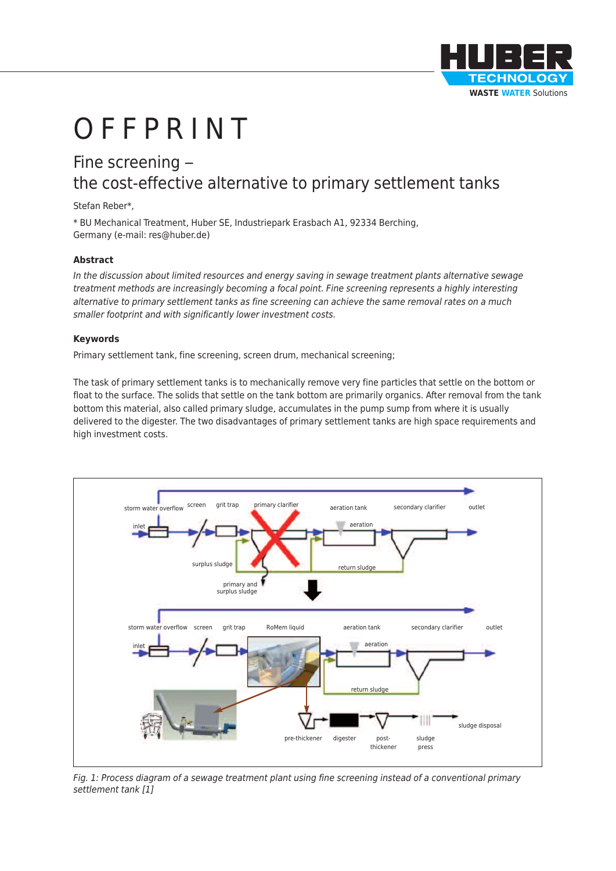

# **OFFPRINT**

## Fine screening – the cost-effective alternative to primary settlement tanks

#### Stefan Reber\*,

\* BU Mechanical Treatment, Huber SE, Industriepark Erasbach A1, 92334 Berching, Germany (e-mail: res@huber.de)

#### **Abstract**

*In the discussion about limited resources and energy saving in sewage treatment plants alternative sewage treatment methods are increasingly becoming a focal point. Fine screening represents a highly interesting alternative to primary settlement tanks as fine screening can achieve the same removal rates on a much smaller footprint and with significantly lower investment costs.*

#### **Keywords**

Primary settlement tank, fine screening, screen drum, mechanical screening;

The task of primary settlement tanks is to mechanically remove very fine particles that settle on the bottom or float to the surface. The solids that settle on the tank bottom are primarily organics. After removal from the tank bottom this material, also called primary sludge, accumulates in the pump sump from where it is usually delivered to the digester. The two disadvantages of primary settlement tanks are high space requirements and high investment costs.



Fig. 1: Process diagram of a sewage treatment plant using fine screening instead of a conventional primary *settlement tank [1]*